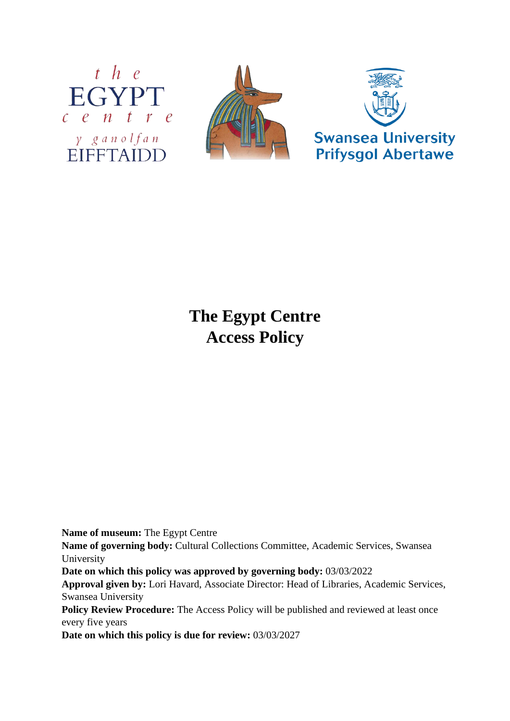





# **The Egypt Centre Access Policy**

**Name of museum:** The Egypt Centre

**Name of governing body:** Cultural Collections Committee, Academic Services, Swansea University

**Date on which this policy was approved by governing body:** 03/03/2022

**Approval given by:** Lori Havard, Associate Director: Head of Libraries, Academic Services, Swansea University

Policy Review Procedure: The Access Policy will be published and reviewed at least once every five years

**Date on which this policy is due for review:** 03/03/2027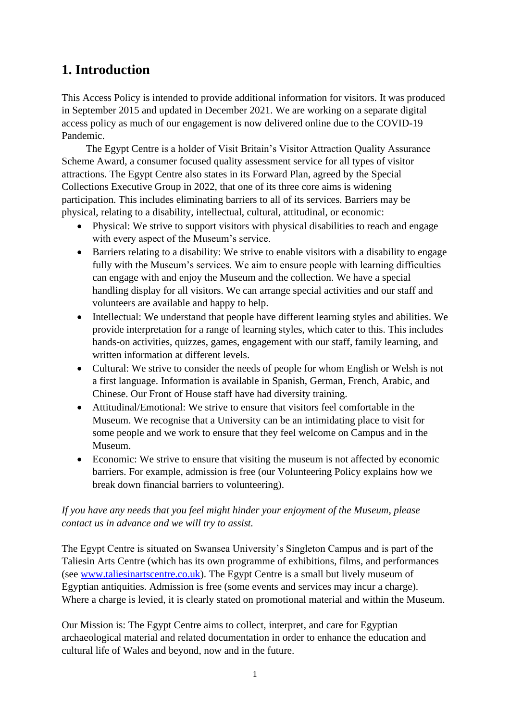# **1. Introduction**

This Access Policy is intended to provide additional information for visitors. It was produced in September 2015 and updated in December 2021. We are working on a separate digital access policy as much of our engagement is now delivered online due to the COVID-19 Pandemic.

The Egypt Centre is a holder of Visit Britain's Visitor Attraction Quality Assurance Scheme Award, a consumer focused quality assessment service for all types of visitor attractions. The Egypt Centre also states in its Forward Plan, agreed by the Special Collections Executive Group in 2022, that one of its three core aims is widening participation. This includes eliminating barriers to all of its services. Barriers may be physical, relating to a disability, intellectual, cultural, attitudinal, or economic:

- Physical: We strive to support visitors with physical disabilities to reach and engage with every aspect of the Museum's service.
- Barriers relating to a disability: We strive to enable visitors with a disability to engage fully with the Museum's services. We aim to ensure people with learning difficulties can engage with and enjoy the Museum and the collection. We have a special handling display for all visitors. We can arrange special activities and our staff and volunteers are available and happy to help.
- Intellectual: We understand that people have different learning styles and abilities. We provide interpretation for a range of learning styles, which cater to this. This includes hands-on activities, quizzes, games, engagement with our staff, family learning, and written information at different levels.
- Cultural: We strive to consider the needs of people for whom English or Welsh is not a first language. Information is available in Spanish, German, French, Arabic, and Chinese. Our Front of House staff have had diversity training.
- Attitudinal/Emotional: We strive to ensure that visitors feel comfortable in the Museum. We recognise that a University can be an intimidating place to visit for some people and we work to ensure that they feel welcome on Campus and in the Museum.
- Economic: We strive to ensure that visiting the museum is not affected by economic barriers. For example, admission is free (our Volunteering Policy explains how we break down financial barriers to volunteering).

### *If you have any needs that you feel might hinder your enjoyment of the Museum, please contact us in advance and we will try to assist.*

The Egypt Centre is situated on Swansea University's Singleton Campus and is part of the Taliesin Arts Centre (which has its own programme of exhibitions, films, and performances (see [www.taliesinartscentre.co.uk\)](http://www.taliesinartscentre.co.uk/). The Egypt Centre is a small but lively museum of Egyptian antiquities. Admission is free (some events and services may incur a charge). Where a charge is levied, it is clearly stated on promotional material and within the Museum.

Our Mission is: The Egypt Centre aims to collect, interpret, and care for Egyptian archaeological material and related documentation in order to enhance the education and cultural life of Wales and beyond, now and in the future.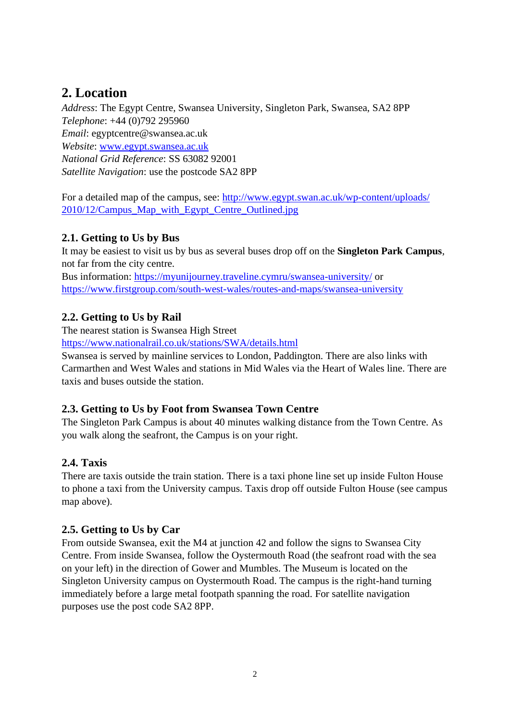# **2. Location**

*Address*: The Egypt Centre, Swansea University, Singleton Park, Swansea, SA2 8PP *Telephone*: +44 (0)792 295960 *Email*: egyptcentre@swansea.ac.uk *Website*: [www.egypt.swansea.ac.uk](http://www.egypt.swansea.ac.uk/) *National Grid Reference*: SS 63082 92001 *Satellite Navigation*: use the postcode SA2 8PP

For a detailed map of the campus, see: [http://www.egypt.swan.ac.uk/wp-content/uploads/](http://www.egypt.swan.ac.uk/wp-content/uploads/2010/12/Campus_Map_with_Egypt_Centre_Outlined.jpg) [2010/12/Campus\\_Map\\_with\\_Egypt\\_Centre\\_Outlined.jpg](http://www.egypt.swan.ac.uk/wp-content/uploads/2010/12/Campus_Map_with_Egypt_Centre_Outlined.jpg) 

### **2.1. Getting to Us by Bus**

It may be easiest to visit us by bus as several buses drop off on the **Singleton Park Campus**, not far from the city centre.

Bus information:<https://myunijourney.traveline.cymru/swansea-university/> or <https://www.firstgroup.com/south-west-wales/routes-and-maps/swansea-university>

### **2.2. Getting to Us by Rail**

The nearest station is Swansea High Street <https://www.nationalrail.co.uk/stations/SWA/details.html>

Swansea is served by mainline services to London, Paddington. There are also links with Carmarthen and West Wales and stations in Mid Wales via the Heart of Wales line. There are taxis and buses outside the station.

### **2.3. Getting to Us by Foot from Swansea Town Centre**

The Singleton Park Campus is about 40 minutes walking distance from the Town Centre. As you walk along the seafront, the Campus is on your right.

### **2.4. Taxis**

There are taxis outside the train station. There is a taxi phone line set up inside Fulton House to phone a taxi from the University campus. Taxis drop off outside Fulton House (see campus map above).

### **2.5. Getting to Us by Car**

From outside Swansea, exit the M4 at junction 42 and follow the signs to Swansea City Centre. From inside Swansea, follow the Oystermouth Road (the seafront road with the sea on your left) in the direction of Gower and Mumbles. The Museum is located on the Singleton University campus on Oystermouth Road. The campus is the right-hand turning immediately before a large metal footpath spanning the road. For satellite navigation purposes use the post code SA2 8PP.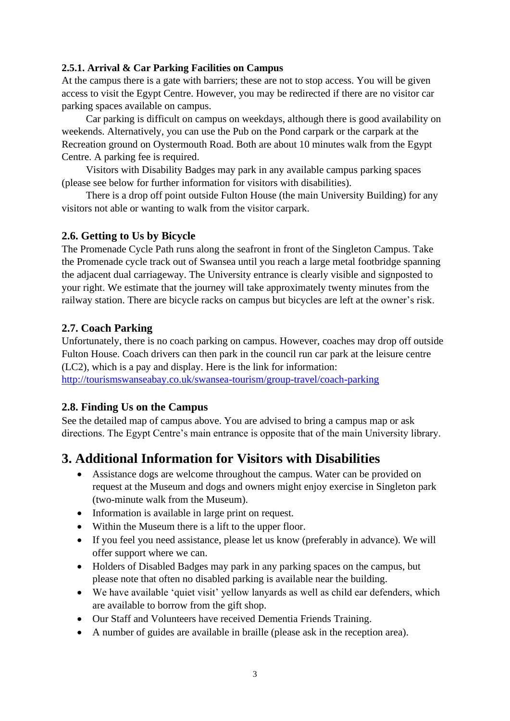#### **2.5.1. Arrival & Car Parking Facilities on Campus**

At the campus there is a gate with barriers; these are not to stop access. You will be given access to visit the Egypt Centre. However, you may be redirected if there are no visitor car parking spaces available on campus.

Car parking is difficult on campus on weekdays, although there is good availability on weekends. Alternatively, you can use the Pub on the Pond carpark or the carpark at the Recreation ground on Oystermouth Road. Both are about 10 minutes walk from the Egypt Centre. A parking fee is required.

Visitors with Disability Badges may park in any available campus parking spaces (please see below for further information for visitors with disabilities).

There is a drop off point outside Fulton House (the main University Building) for any visitors not able or wanting to walk from the visitor carpark.

#### **2.6. Getting to Us by Bicycle**

The Promenade Cycle Path runs along the seafront in front of the Singleton Campus. Take the Promenade cycle track out of Swansea until you reach a large metal footbridge spanning the adjacent dual carriageway. The University entrance is clearly visible and signposted to your right. We estimate that the journey will take approximately twenty minutes from the railway station. There are bicycle racks on campus but bicycles are left at the owner's risk.

### **2.7. Coach Parking**

Unfortunately, there is no coach parking on campus. However, coaches may drop off outside Fulton House. Coach drivers can then park in the council run car park at the leisure centre (LC2), which is a pay and display. Here is the link for information: <http://tourismswanseabay.co.uk/swansea-tourism/group-travel/coach-parking>

### **2.8. Finding Us on the Campus**

See the detailed map of campus above. You are advised to bring a campus map or ask directions. The Egypt Centre's main entrance is opposite that of the main University library.

### **3. Additional Information for Visitors with Disabilities**

- Assistance dogs are welcome throughout the campus. Water can be provided on request at the Museum and dogs and owners might enjoy exercise in Singleton park (two-minute walk from the Museum).
- Information is available in large print on request.
- Within the Museum there is a lift to the upper floor.
- If you feel you need assistance, please let us know (preferably in advance). We will offer support where we can.
- Holders of Disabled Badges may park in any parking spaces on the campus, but please note that often no disabled parking is available near the building.
- We have available 'quiet visit' yellow lanyards as well as child ear defenders, which are available to borrow from the gift shop.
- Our Staff and Volunteers have received Dementia Friends Training.
- A number of guides are available in braille (please ask in the reception area).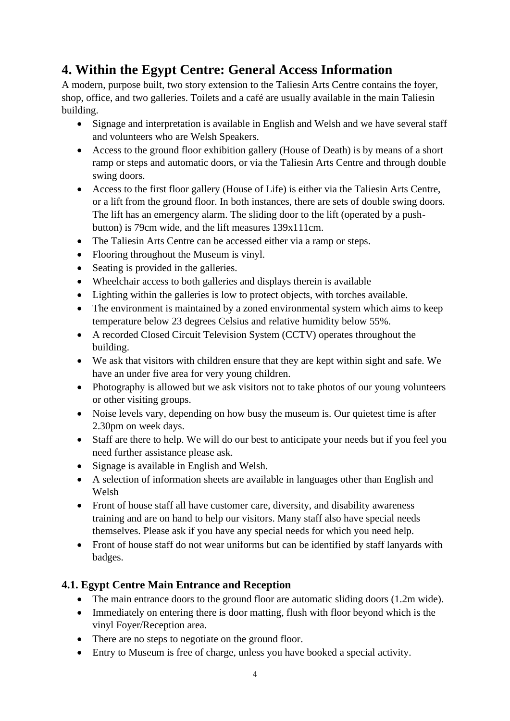# **4. Within the Egypt Centre: General Access Information**

A modern, purpose built, two story extension to the Taliesin Arts Centre contains the foyer, shop, office, and two galleries. Toilets and a café are usually available in the main Taliesin building.

- Signage and interpretation is available in English and Welsh and we have several staff and volunteers who are Welsh Speakers.
- Access to the ground floor exhibition gallery (House of Death) is by means of a short ramp or steps and automatic doors, or via the Taliesin Arts Centre and through double swing doors.
- Access to the first floor gallery (House of Life) is either via the Taliesin Arts Centre, or a lift from the ground floor. In both instances, there are sets of double swing doors. The lift has an emergency alarm. The sliding door to the lift (operated by a pushbutton) is 79cm wide, and the lift measures 139x111cm.
- The Taliesin Arts Centre can be accessed either via a ramp or steps.
- Flooring throughout the Museum is vinyl.
- Seating is provided in the galleries.
- Wheelchair access to both galleries and displays therein is available
- Lighting within the galleries is low to protect objects, with torches available.
- The environment is maintained by a zoned environmental system which aims to keep temperature below 23 degrees Celsius and relative humidity below 55%.
- A recorded Closed Circuit Television System (CCTV) operates throughout the building.
- We ask that visitors with children ensure that they are kept within sight and safe. We have an under five area for very young children.
- Photography is allowed but we ask visitors not to take photos of our young volunteers or other visiting groups.
- Noise levels vary, depending on how busy the museum is. Our quietest time is after 2.30pm on week days.
- Staff are there to help. We will do our best to anticipate your needs but if you feel you need further assistance please ask.
- Signage is available in English and Welsh.
- A selection of information sheets are available in languages other than English and Welsh
- Front of house staff all have customer care, diversity, and disability awareness training and are on hand to help our visitors. Many staff also have special needs themselves. Please ask if you have any special needs for which you need help.
- Front of house staff do not wear uniforms but can be identified by staff lanyards with badges.

### **4.1. Egypt Centre Main Entrance and Reception**

- The main entrance doors to the ground floor are automatic sliding doors (1.2m wide).
- Immediately on entering there is door matting, flush with floor beyond which is the vinyl Foyer/Reception area.
- There are no steps to negotiate on the ground floor.
- Entry to Museum is free of charge, unless you have booked a special activity.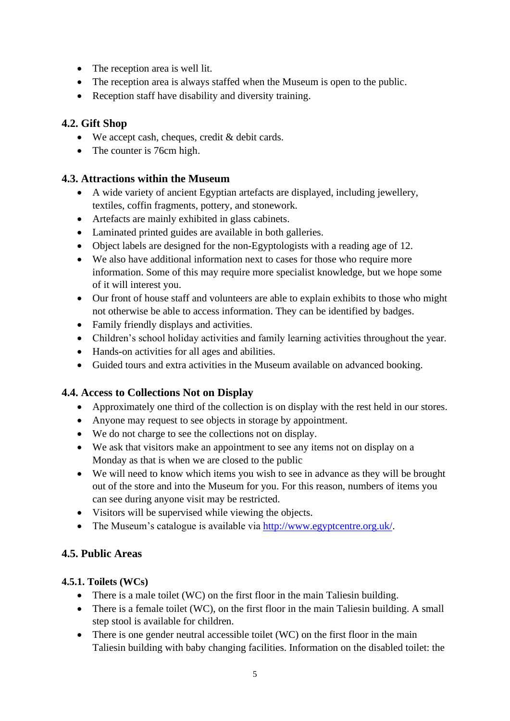- The reception area is well lit.
- The reception area is always staffed when the Museum is open to the public.
- Reception staff have disability and diversity training.

### **4.2. Gift Shop**

- We accept cash, cheques, credit & debit cards.
- The counter is 76cm high.

#### **4.3. Attractions within the Museum**

- A wide variety of ancient Egyptian artefacts are displayed, including jewellery, textiles, coffin fragments, pottery, and stonework.
- Artefacts are mainly exhibited in glass cabinets.
- Laminated printed guides are available in both galleries.
- Object labels are designed for the non-Egyptologists with a reading age of 12.
- We also have additional information next to cases for those who require more information. Some of this may require more specialist knowledge, but we hope some of it will interest you.
- Our front of house staff and volunteers are able to explain exhibits to those who might not otherwise be able to access information. They can be identified by badges.
- Family friendly displays and activities.
- Children's school holiday activities and family learning activities throughout the year.
- Hands-on activities for all ages and abilities.
- Guided tours and extra activities in the Museum available on advanced booking.

### **4.4. Access to Collections Not on Display**

- Approximately one third of the collection is on display with the rest held in our stores.
- Anyone may request to see objects in storage by appointment.
- We do not charge to see the collections not on display.
- We ask that visitors make an appointment to see any items not on display on a Monday as that is when we are closed to the public
- We will need to know which items you wish to see in advance as they will be brought out of the store and into the Museum for you. For this reason, numbers of items you can see during anyone visit may be restricted.
- Visitors will be supervised while viewing the objects.
- The Museum's catalogue is available via [http://www.egyptcentre.org.uk/.](http://www.egyptcentre.org.uk/)

### **4.5. Public Areas**

### **4.5.1. Toilets (WCs)**

- There is a male toilet (WC) on the first floor in the main Taliesin building.
- There is a female toilet (WC), on the first floor in the main Taliesin building. A small step stool is available for children.
- There is one gender neutral accessible toilet (WC) on the first floor in the main Taliesin building with baby changing facilities. Information on the disabled toilet: the